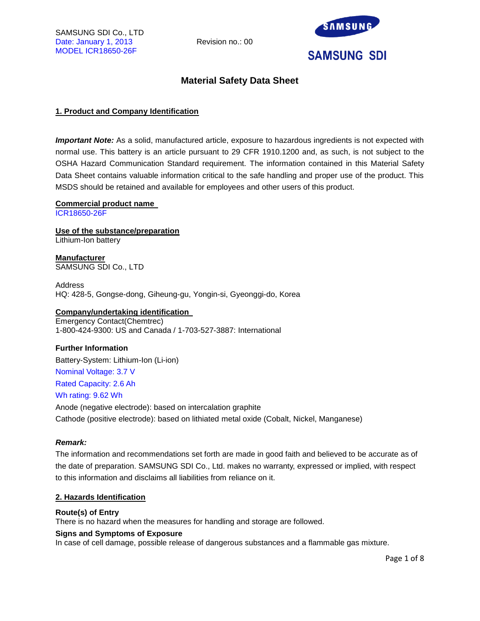

# **Material Safety Data Sheet**

# **1. Product and Company Identification**

*Important Note:* As a solid, manufactured article, exposure to hazardous ingredients is not expected with normal use. This battery is an article pursuant to 29 CFR 1910.1200 and, as such, is not subject to the OSHA Hazard Communication Standard requirement. The information contained in this Material Safety Data Sheet contains valuable information critical to the safe handling and proper use of the product. This MSDS should be retained and available for employees and other users of this product.

#### **Commercial product name**

ICR18650-26F

**Use of the substance/preparation** Lithium-Ion battery

**Manufacturer** SAMSUNG SDI Co., LTD

Address HQ: 428-5, Gongse-dong, Giheung-gu, Yongin-si, Gyeonggi-do, Korea

# **Company/undertaking identification**

Emergency Contact(Chemtrec) 1-800-424-9300: US and Canada / 1-703-527-3887: International

# **Further Information**

Battery-System: Lithium-Ion (Li-ion) Nominal Voltage: 3.7 V Rated Capacity: 2.6 Ah

# Wh rating: 9.62 Wh

Anode (negative electrode): based on intercalation graphite Cathode (positive electrode): based on lithiated metal oxide (Cobalt, Nickel, Manganese)

# *Remark:*

The information and recommendations set forth are made in good faith and believed to be accurate as of the date of preparation. SAMSUNG SDI Co., Ltd. makes no warranty, expressed or implied, with respect to this information and disclaims all liabilities from reliance on it.

# **2. Hazards Identification**

# **Route(s) of Entry**

There is no hazard when the measures for handling and storage are followed.

# **Signs and Symptoms of Exposure**

In case of cell damage, possible release of dangerous substances and a flammable gas mixture.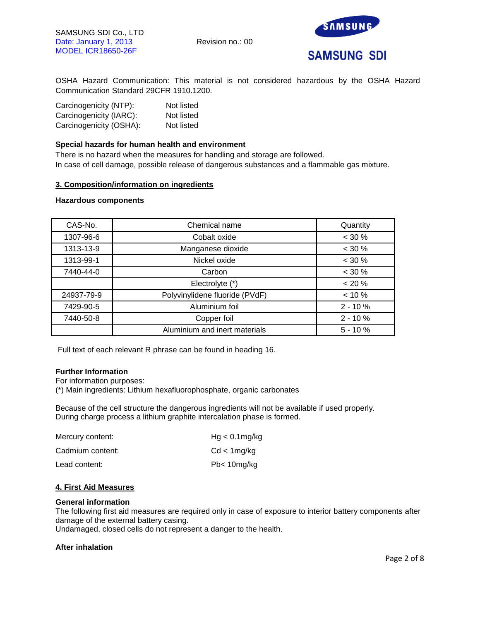

OSHA Hazard Communication: This material is not considered hazardous by the OSHA Hazard Communication Standard 29CFR 1910.1200.

| Carcinogenicity (NTP):  | Not listed |
|-------------------------|------------|
| Carcinogenicity (IARC): | Not listed |
| Carcinogenicity (OSHA): | Not listed |

# **Special hazards for human health and environment**

There is no hazard when the measures for handling and storage are followed. In case of cell damage, possible release of dangerous substances and a flammable gas mixture.

# **3. Composition/information on ingredients**

#### **Hazardous components**

| CAS-No.    | Chemical name                  | Quantity    |
|------------|--------------------------------|-------------|
| 1307-96-6  | Cobalt oxide                   | $< 30 \%$   |
| 1313-13-9  | Manganese dioxide              | $< 30 \%$   |
| 1313-99-1  | Nickel oxide                   | $< 30 \%$   |
| 7440-44-0  | Carbon                         | $< 30 \%$   |
|            | Electrolyte (*)                | $< 20 \%$   |
| 24937-79-9 | Polyvinylidene fluoride (PVdF) | $< 10 \%$   |
| 7429-90-5  | Aluminium foil                 | $2 - 10%$   |
| 7440-50-8  | Copper foil                    | $2 - 10 \%$ |
|            | Aluminium and inert materials  | $5 - 10%$   |

Full text of each relevant R phrase can be found in heading 16.

# **Further Information**

For information purposes:

(\*) Main ingredients: Lithium hexafluorophosphate, organic carbonates

Because of the cell structure the dangerous ingredients will not be available if used properly. During charge process a lithium graphite intercalation phase is formed.

| Mercury content: | $Hg < 0.1$ mg/kg       |
|------------------|------------------------|
| Cadmium content: | Cd < 1mg/kg            |
| Lead content:    | Pb <sub>10</sub> mg/kg |

# **4. First Aid Measures**

# **General information**

The following first aid measures are required only in case of exposure to interior battery components after damage of the external battery casing.

Undamaged, closed cells do not represent a danger to the health.

# **After inhalation**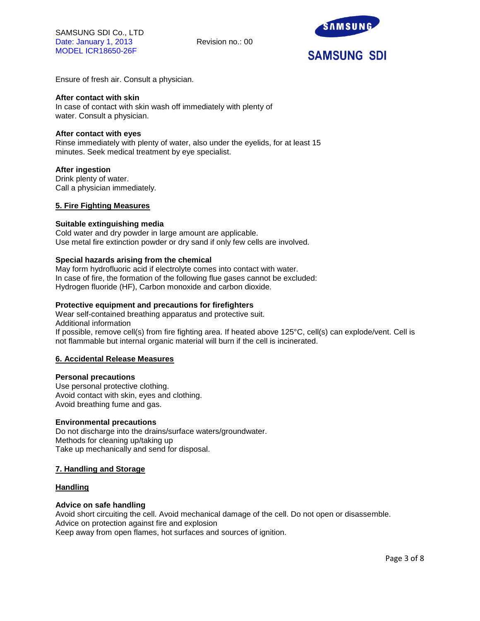

Ensure of fresh air. Consult a physician.

#### **After contact with skin**

In case of contact with skin wash off immediately with plenty of water. Consult a physician.

#### **After contact with eyes**

Rinse immediately with plenty of water, also under the eyelids, for at least 15 minutes. Seek medical treatment by eye specialist.

#### **After ingestion**

Drink plenty of water. Call a physician immediately.

#### **5. Fire Fighting Measures**

#### **Suitable extinguishing media**

Cold water and dry powder in large amount are applicable. Use metal fire extinction powder or dry sand if only few cells are involved.

#### **Special hazards arising from the chemical**

May form hydrofluoric acid if electrolyte comes into contact with water. In case of fire, the formation of the following flue gases cannot be excluded: Hydrogen fluoride (HF), Carbon monoxide and carbon dioxide.

#### **Protective equipment and precautions for firefighters**

Wear self-contained breathing apparatus and protective suit. Additional information If possible, remove cell(s) from fire fighting area. If heated above 125°C, cell(s) can explode/vent. Cell is not flammable but internal organic material will burn if the cell is incinerated.

# **6. Accidental Release Measures**

#### **Personal precautions**

Use personal protective clothing. Avoid contact with skin, eyes and clothing. Avoid breathing fume and gas.

#### **Environmental precautions**

Do not discharge into the drains/surface waters/groundwater. Methods for cleaning up/taking up Take up mechanically and send for disposal.

# **7. Handling and Storage**

# **Handling**

# **Advice on safe handling**

Avoid short circuiting the cell. Avoid mechanical damage of the cell. Do not open or disassemble. Advice on protection against fire and explosion Keep away from open flames, hot surfaces and sources of ignition.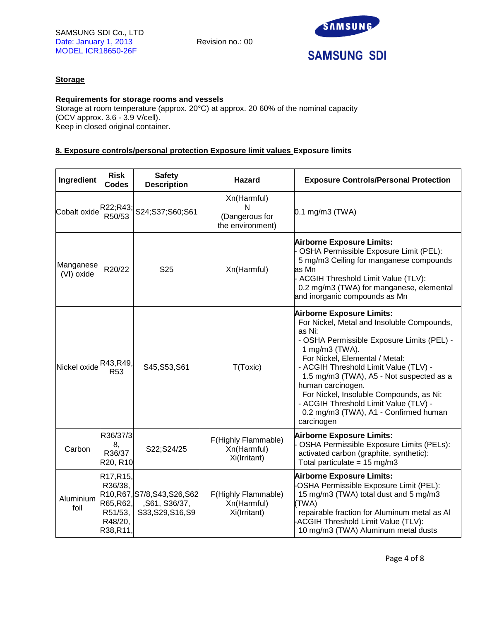

# **Storage**

# **Requirements for storage rooms and vessels**

Storage at room temperature (approx. 20°C) at approx. 20 60% of the nominal capacity (OCV approx. 3.6 - 3.9 V/cell). Keep in closed original container.

# **8. Exposure controls/personal protection Exposure limit values Exposure limits**

| Ingredient              | <b>Risk</b><br><b>Codes</b>                                                                  | <b>Safety</b><br><b>Description</b>                                 | <b>Hazard</b>                                          | <b>Exposure Controls/Personal Protection</b>                                                                                                                                                                                                                                                                                                                                                                                                    |
|-------------------------|----------------------------------------------------------------------------------------------|---------------------------------------------------------------------|--------------------------------------------------------|-------------------------------------------------------------------------------------------------------------------------------------------------------------------------------------------------------------------------------------------------------------------------------------------------------------------------------------------------------------------------------------------------------------------------------------------------|
| Cobalt oxide R22;R43;   | R50/53                                                                                       | S24;S37;S60;S61                                                     | Xn(Harmful)<br>N<br>(Dangerous for<br>the environment) | 0.1 mg/m3 (TWA)                                                                                                                                                                                                                                                                                                                                                                                                                                 |
| Manganese<br>(VI) oxide | R20/22                                                                                       | S <sub>25</sub>                                                     | Xn(Harmful)                                            | <b>Airborne Exposure Limits:</b><br>OSHA Permissible Exposure Limit (PEL):<br>5 mg/m3 Ceiling for manganese compounds<br>as Mn<br>ACGIH Threshold Limit Value (TLV):<br>0.2 mg/m3 (TWA) for manganese, elemental<br>and inorganic compounds as Mn                                                                                                                                                                                               |
| Nickel oxide            | R43,R49,<br>R <sub>53</sub>                                                                  | S45, S53, S61                                                       | T(Toxic)                                               | <b>Airborne Exposure Limits:</b><br>For Nickel, Metal and Insoluble Compounds,<br>as Ni:<br>- OSHA Permissible Exposure Limits (PEL) -<br>1 mg/m3 (TWA).<br>For Nickel, Elemental / Metal:<br>- ACGIH Threshold Limit Value (TLV) -<br>1.5 mg/m3 (TWA), A5 - Not suspected as a<br>human carcinogen.<br>For Nickel, Insoluble Compounds, as Ni:<br>- ACGIH Threshold Limit Value (TLV) -<br>0.2 mg/m3 (TWA), A1 - Confirmed human<br>carcinogen |
| Carbon                  | R36/37/3<br>8,<br>R36/37<br>R20, R10                                                         | S22;S24/25                                                          | F(Highly Flammable)<br>Xn(Harmful)<br>Xi(Irritant)     | <b>Airborne Exposure Limits:</b><br>OSHA Permissible Exposure Limits (PELs):<br>activated carbon (graphite, synthetic):<br>Total particulate = $15 \text{ mg/m}$ 3                                                                                                                                                                                                                                                                              |
| Aluminium<br>foil       | R <sub>17</sub> , R <sub>15</sub> ,<br>R36/38,<br>R65,R62,<br>R51/53,<br>R48/20,<br>R38,R11, | R10, R67, S7/8, S43, S26, S62<br>,S61, S36/37,<br>S33, S29, S16, S9 | F(Highly Flammable)<br>Xn(Harmful)<br>Xi(Irritant)     | <b>Airborne Exposure Limits:</b><br>OSHA Permissible Exposure Limit (PEL):<br>15 mg/m3 (TWA) total dust and 5 mg/m3<br>(TWA)<br>repairable fraction for Aluminum metal as Al<br>ACGIH Threshold Limit Value (TLV):<br>10 mg/m3 (TWA) Aluminum metal dusts                                                                                                                                                                                       |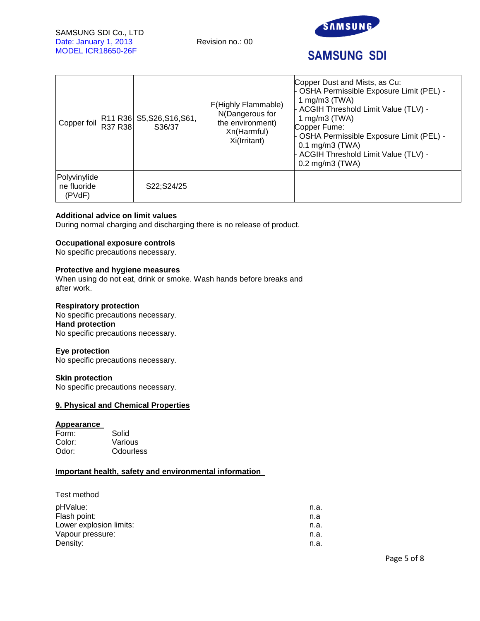

# **SAMSUNG SDI**

|                                       | R37 R38 | Copper foil $\begin{bmatrix} R11 & R36 \\ R2 & R3 \end{bmatrix}$ S5, S26, S16, S61,<br>S36/37 | F(Highly Flammable)<br>N(Dangerous for<br>the environment)<br>Xn(Harmful)<br>Xi(Irritant) | Copper Dust and Mists, as Cu:<br>- OSHA Permissible Exposure Limit (PEL) -<br>1 mg/m $3$ (TWA)<br>- ACGIH Threshold Limit Value (TLV) -<br>1 mg/m $3$ (TWA)<br>Copper Fume:<br>- OSHA Permissible Exposure Limit (PEL) -<br>$0.1 \text{ mg/m}$ 3 (TWA)<br>- ACGIH Threshold Limit Value (TLV) -<br>$0.2$ mg/m $3$ (TWA) |
|---------------------------------------|---------|-----------------------------------------------------------------------------------------------|-------------------------------------------------------------------------------------------|-------------------------------------------------------------------------------------------------------------------------------------------------------------------------------------------------------------------------------------------------------------------------------------------------------------------------|
| Polyvinylide<br>ne fluoride<br>(PVdF) |         | S22;S24/25                                                                                    |                                                                                           |                                                                                                                                                                                                                                                                                                                         |

# **Additional advice on limit values**

During normal charging and discharging there is no release of product.

# **Occupational exposure controls**

No specific precautions necessary.

# **Protective and hygiene measures**

When using do not eat, drink or smoke. Wash hands before breaks and after work.

# **Respiratory protection**

No specific precautions necessary. **Hand protection**  No specific precautions necessary.

#### **Eye protection**

No specific precautions necessary.

#### **Skin protection**

No specific precautions necessary.

# **9. Physical and Chemical Properties**

#### **Appearance**

| Form:  | Solid            |
|--------|------------------|
| Color: | Various          |
| Odor:  | <b>Odourless</b> |

# **Important health, safety and environmental information**

|  |  | Test method |
|--|--|-------------|
|--|--|-------------|

| pHValue:                | n.a. |
|-------------------------|------|
| Flash point:            | n.a  |
| Lower explosion limits: | n.a. |
| Vapour pressure:        | n.a. |
| Density:                | n.a. |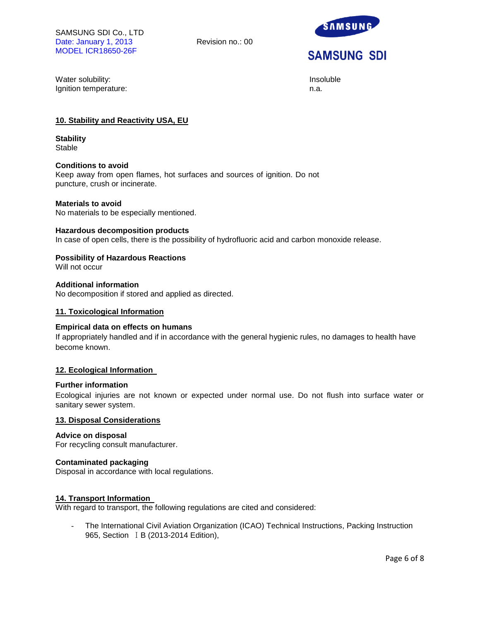

Water solubility: **Insolubility:** Insoluble Ignition temperature: n.a.

# **10. Stability and Reactivity USA, EU**

**Stability Stable** 

# **Conditions to avoid**

Keep away from open flames, hot surfaces and sources of ignition. Do not puncture, crush or incinerate.

#### **Materials to avoid**

No materials to be especially mentioned.

#### **Hazardous decomposition products**

In case of open cells, there is the possibility of hydrofluoric acid and carbon monoxide release.

# **Possibility of Hazardous Reactions**

Will not occur

# **Additional information**

No decomposition if stored and applied as directed.

#### **11. Toxicological Information**

#### **Empirical data on effects on humans**

If appropriately handled and if in accordance with the general hygienic rules, no damages to health have become known.

# **12. Ecological Information**

#### **Further information**

Ecological injuries are not known or expected under normal use. Do not flush into surface water or sanitary sewer system.

# **13. Disposal Considerations**

# **Advice on disposal**

For recycling consult manufacturer.

# **Contaminated packaging**

Disposal in accordance with local regulations.

# **14. Transport Information**

With regard to transport, the following regulations are cited and considered:

The International Civil Aviation Organization (ICAO) Technical Instructions, Packing Instruction 965, Section I B (2013-2014 Edition),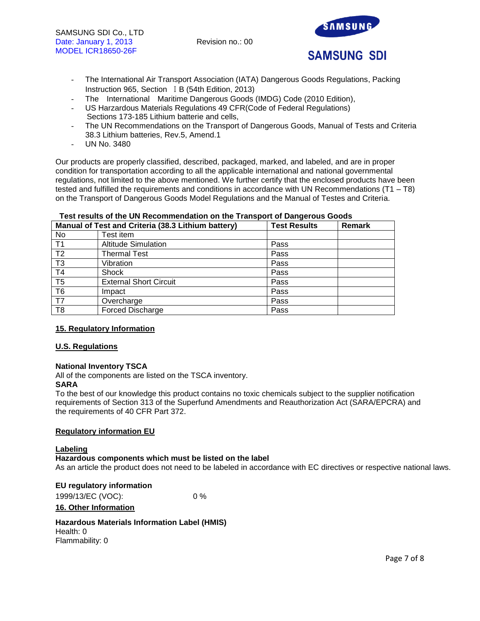

- The International Air Transport Association (IATA) Dangerous Goods Regulations, Packing Instruction 965, Section I B (54th Edition, 2013)
- The International Maritime Dangerous Goods (IMDG) Code (2010 Edition),
- US Harzardous Materials Regulations 49 CFR(Code of Federal Regulations) Sections 173-185 Lithium batterie and cells,
- The UN Recommendations on the Transport of Dangerous Goods, Manual of Tests and Criteria 38.3 Lithium batteries, Rev.5, Amend.1
- UN No. 3480

Our products are properly classified, described, packaged, marked, and labeled, and are in proper condition for transportation according to all the applicable international and national governmental regulations, not limited to the above mentioned. We further certify that the enclosed products have been tested and fulfilled the requirements and conditions in accordance with UN Recommendations (T1 – T8) on the Transport of Dangerous Goods Model Regulations and the Manual of Testes and Criteria.

|                 | Manual of Test and Criteria (38.3 Lithium battery) | <b>Test Results</b> | Remark |
|-----------------|----------------------------------------------------|---------------------|--------|
| No.             | Test item                                          |                     |        |
| T <sub>1</sub>  | <b>Altitude Simulation</b>                         | Pass                |        |
| T <sub>2</sub>  | Thermal Test                                       | Pass                |        |
| T3              | Vibration                                          | Pass                |        |
| $\overline{14}$ | Shock                                              | Pass                |        |
| T <sub>5</sub>  | <b>External Short Circuit</b>                      | Pass                |        |
| T <sub>6</sub>  | Impact                                             | Pass                |        |
| T7              | Overcharge                                         | Pass                |        |
| T8              | <b>Forced Discharge</b>                            | Pass                |        |

# **Test results of the UN Recommendation on the Transport of Dangerous Goods**

# **15. Regulatory Information**

# **U.S. Regulations**

# **National Inventory TSCA**

All of the components are listed on the TSCA inventory.

# **SARA**

To the best of our knowledge this product contains no toxic chemicals subject to the supplier notification requirements of Section 313 of the Superfund Amendments and Reauthorization Act (SARA/EPCRA) and the requirements of 40 CFR Part 372.

# **Regulatory information EU**

# **Labeling**

#### **Hazardous components which must be listed on the label**  As an article the product does not need to be labeled in accordance with EC directives or respective national laws.

**EU regulatory information**  1999/13/EC (VOC): 0 %

**16. Other Information**

**Hazardous Materials Information Label (HMIS)**  Health: 0 Flammability: 0